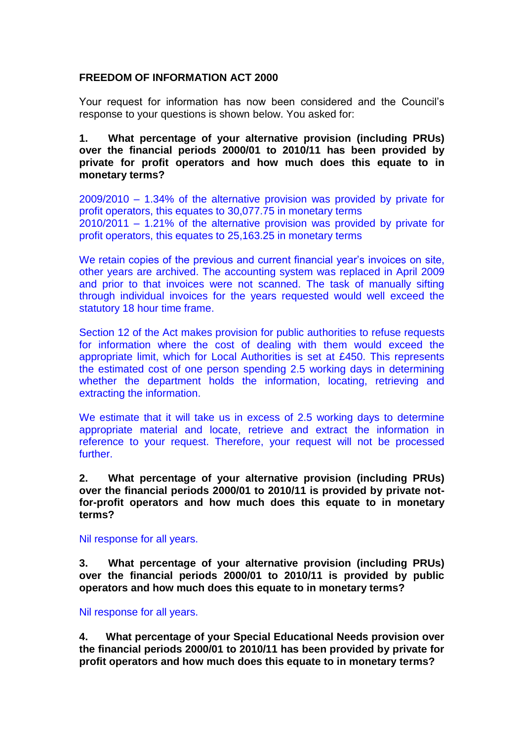## **FREEDOM OF INFORMATION ACT 2000**

Your request for information has now been considered and the Council's response to your questions is shown below. You asked for:

**1. What percentage of your alternative provision (including PRUs) over the financial periods 2000/01 to 2010/11 has been provided by private for profit operators and how much does this equate to in monetary terms?**

2009/2010 – 1.34% of the alternative provision was provided by private for profit operators, this equates to 30,077.75 in monetary terms 2010/2011 – 1.21% of the alternative provision was provided by private for profit operators, this equates to 25,163.25 in monetary terms

We retain copies of the previous and current financial year's invoices on site, other years are archived. The accounting system was replaced in April 2009 and prior to that invoices were not scanned. The task of manually sifting through individual invoices for the years requested would well exceed the statutory 18 hour time frame.

Section 12 of the Act makes provision for public authorities to refuse requests for information where the cost of dealing with them would exceed the appropriate limit, which for Local Authorities is set at £450. This represents the estimated cost of one person spending 2.5 working days in determining whether the department holds the information, locating, retrieving and extracting the information.

We estimate that it will take us in excess of 2.5 working days to determine appropriate material and locate, retrieve and extract the information in reference to your request. Therefore, your request will not be processed further.

**2. What percentage of your alternative provision (including PRUs) over the financial periods 2000/01 to 2010/11 is provided by private notfor-profit operators and how much does this equate to in monetary terms?**

Nil response for all years.

**3. What percentage of your alternative provision (including PRUs) over the financial periods 2000/01 to 2010/11 is provided by public operators and how much does this equate to in monetary terms?**

Nil response for all years.

**4. What percentage of your Special Educational Needs provision over the financial periods 2000/01 to 2010/11 has been provided by private for profit operators and how much does this equate to in monetary terms?**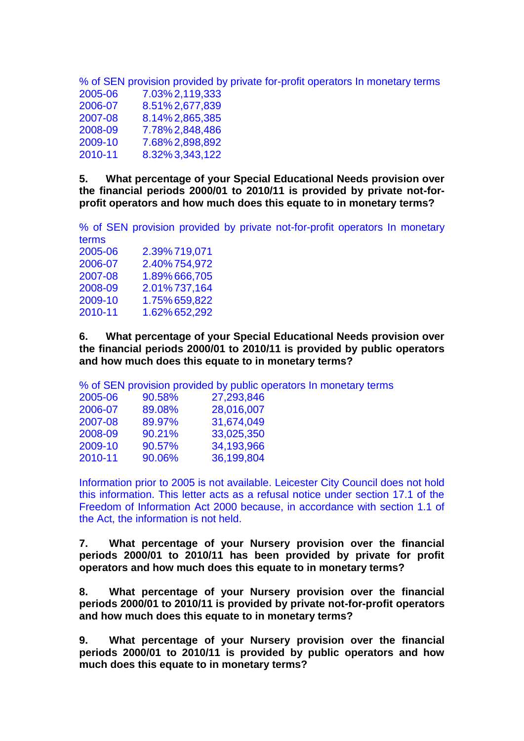% of SEN provision provided by private for-profit operators In monetary terms

| 2005-06 | 7.03% 2,119,333 |
|---------|-----------------|
| 2006-07 | 8.51% 2,677,839 |
| 2007-08 | 8.14% 2,865,385 |
| 2008-09 | 7.78%2,848,486  |
| 2009-10 | 7.68% 2,898,892 |
| 2010-11 | 8.32% 3,343,122 |

**5. What percentage of your Special Educational Needs provision over the financial periods 2000/01 to 2010/11 is provided by private not-forprofit operators and how much does this equate to in monetary terms?**

% of SEN provision provided by private not-for-profit operators In monetary terms 2005-06 2.39% 719,071 2006-07 2.40% 754,972<br>2007-08 1.89% 666,705<br>2008-09 2.01% 737,164 1.89% 666,705 2.01% 737,164 2009-10 1.75% 659,822 2010-11 1.62% 652,292

**6. What percentage of your Special Educational Needs provision over the financial periods 2000/01 to 2010/11 is provided by public operators and how much does this equate to in monetary terms?**

% of SEN provision provided by public operators In monetary terms

| 90.58%    | 27,293,846 |
|-----------|------------|
| 89.08%    | 28,016,007 |
| 89.97%    | 31,674,049 |
| $90.21\%$ | 33,025,350 |
| 90.57%    | 34,193,966 |
| 90.06%    | 36,199,804 |
|           |            |

Information prior to 2005 is not available. Leicester City Council does not hold this information. This letter acts as a refusal notice under section 17.1 of the Freedom of Information Act 2000 because, in accordance with section 1.1 of the Act, the information is not held.

**7. What percentage of your Nursery provision over the financial periods 2000/01 to 2010/11 has been provided by private for profit operators and how much does this equate to in monetary terms?**

**8. What percentage of your Nursery provision over the financial periods 2000/01 to 2010/11 is provided by private not-for-profit operators and how much does this equate to in monetary terms?**

**9. What percentage of your Nursery provision over the financial periods 2000/01 to 2010/11 is provided by public operators and how much does this equate to in monetary terms?**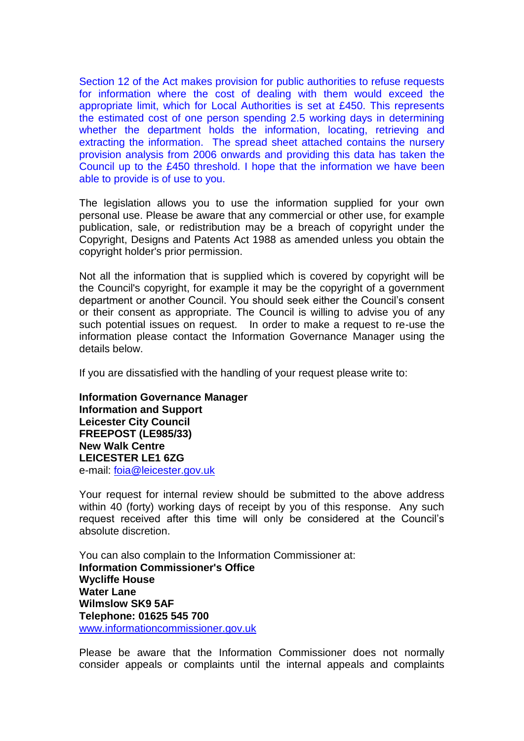Section 12 of the Act makes provision for public authorities to refuse requests for information where the cost of dealing with them would exceed the appropriate limit, which for Local Authorities is set at £450. This represents the estimated cost of one person spending 2.5 working days in determining whether the department holds the information, locating, retrieving and extracting the information. The spread sheet attached contains the nursery provision analysis from 2006 onwards and providing this data has taken the Council up to the £450 threshold. I hope that the information we have been able to provide is of use to you.

The legislation allows you to use the information supplied for your own personal use. Please be aware that any commercial or other use, for example publication, sale, or redistribution may be a breach of copyright under the Copyright, Designs and Patents Act 1988 as amended unless you obtain the copyright holder's prior permission.

Not all the information that is supplied which is covered by copyright will be the Council's copyright, for example it may be the copyright of a government department or another Council. You should seek either the Council's consent or their consent as appropriate. The Council is willing to advise you of any such potential issues on request. In order to make a request to re-use the information please contact the Information Governance Manager using the details below.

If you are dissatisfied with the handling of your request please write to:

**Information Governance Manager Information and Support Leicester City Council FREEPOST (LE985/33) New Walk Centre LEICESTER LE1 6ZG**  e-mail: [foia@leicester.gov.uk](mailto:foia@leicester.gov.uk)

Your request for internal review should be submitted to the above address within 40 (forty) working days of receipt by you of this response. Any such request received after this time will only be considered at the Council's absolute discretion.

You can also complain to the Information Commissioner at: **Information Commissioner's Office Wycliffe House Water Lane Wilmslow SK9 5AF Telephone: 01625 545 700**  www.informationcommissioner.gov.uk

Please be aware that the Information Commissioner does not normally consider appeals or complaints until the internal appeals and complaints